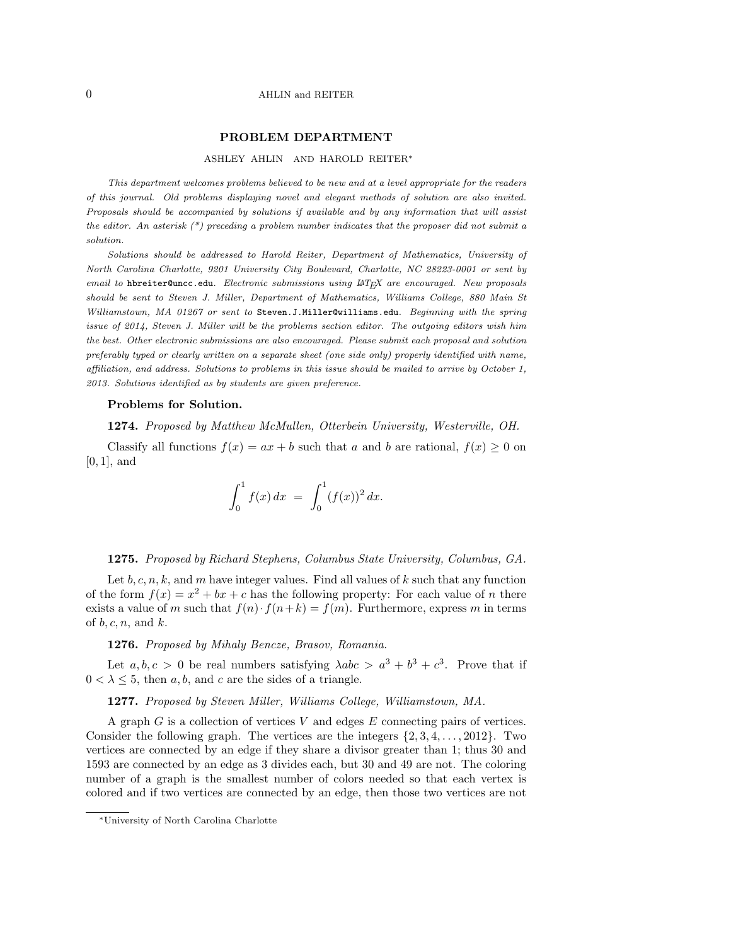## 0 AHLIN and REITER

## **PROBLEM DEPARTMENT**

#### ASHLEY AHLIN AND HAROLD REITER*∗*

*This department welcomes problems believed to be new and at a level appropriate for the readers of this journal. Old problems displaying novel and elegant methods of solution are also invited. Proposals should be accompanied by solutions if available and by any information that will assist the editor. An asterisk (\*) preceding a problem number indicates that the proposer did not submit a solution.*

*Solutions should be addressed to Harold Reiter, Department of Mathematics, University of North Carolina Charlotte, 9201 University City Boulevard, Charlotte, NC 28223-0001 or sent by email to* hbreiter@uncc.edu*. Electronic submissions using LATEX are encouraged. New proposals should be sent to Steven J. Miller, Department of Mathematics, Williams College, 880 Main St Williamstown, MA 01267 or sent to* Steven.J.Miller@williams.edu*. Beginning with the spring issue of 2014, Steven J. Miller will be the problems section editor. The outgoing editors wish him the best. Other electronic submissions are also encouraged. Please submit each proposal and solution preferably typed or clearly written on a separate sheet (one side only) properly identified with name, affiliation, and address. Solutions to problems in this issue should be mailed to arrive by October 1, 2013. Solutions identified as by students are given preference.*

#### **Problems for Solution.**

**1274.** *Proposed by Matthew McMullen, Otterbein University, Westerville, OH.*

Classify all functions  $f(x) = ax + b$  such that *a* and *b* are rational,  $f(x) \ge 0$  on [0*,* 1], and

$$
\int_0^1 f(x) \, dx \ = \ \int_0^1 (f(x))^2 \, dx.
$$

#### **1275.** *Proposed by Richard Stephens, Columbus State University, Columbus, GA.*

Let *b, c, n, k,* and *m* have integer values. Find all values of *k* such that any function of the form  $f(x) = x^2 + bx + c$  has the following property: For each value of *n* there exists a value of *m* such that  $f(n) \cdot f(n+k) = f(m)$ . Furthermore, express *m* in terms of *b, c, n*, and *k*.

#### **1276.** *Proposed by Mihaly Bencze, Brasov, Romania.*

Let  $a, b, c > 0$  be real numbers satisfying  $\lambda abc > a^3 + b^3 + c^3$ . Prove that if  $0 < \lambda < 5$ , then a, b, and c are the sides of a triangle.

### **1277.** *Proposed by Steven Miller, Williams College, Williamstown, MA.*

A graph *G* is a collection of vertices *V* and edges *E* connecting pairs of vertices. Consider the following graph. The vertices are the integers *{*2*,* 3*,* 4*, . . . ,* 2012*}*. Two vertices are connected by an edge if they share a divisor greater than 1; thus 30 and 1593 are connected by an edge as 3 divides each, but 30 and 49 are not. The coloring number of a graph is the smallest number of colors needed so that each vertex is colored and if two vertices are connected by an edge, then those two vertices are not

*<sup>∗</sup>*University of North Carolina Charlotte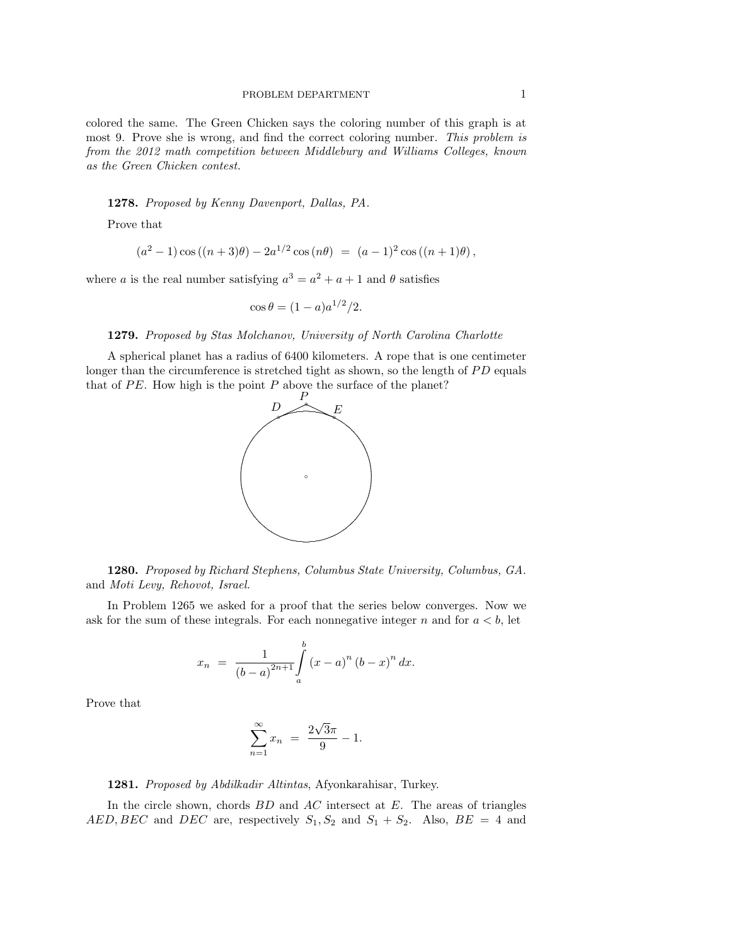colored the same. The Green Chicken says the coloring number of this graph is at most 9. Prove she is wrong, and find the correct coloring number. *This problem is from the 2012 math competition between Middlebury and Williams Colleges, known as the Green Chicken contest.*

**1278.** *Proposed by Kenny Davenport, Dallas, PA.*

Prove that

$$
(a2 - 1)\cos((n+3)\theta) - 2a1/2 \cos(n\theta) = (a - 1)2 \cos((n+1)\theta),
$$

where *a* is the real number satisfying  $a^3 = a^2 + a + 1$  and  $\theta$  satisfies

$$
\cos \theta = (1 - a)a^{1/2}/2.
$$

# **1279.** *Proposed by Stas Molchanov, University of North Carolina Charlotte*

A spherical planet has a radius of 6400 kilometers. A rope that is one centimeter longer than the circumference is stretched tight as shown, so the length of PD equals that of  $PE$ . How high is the point  $P$  above the surface of the planet?



**1280.** *Proposed by Richard Stephens, Columbus State University, Columbus, GA.* and *Moti Levy, Rehovot, Israel.*

In Problem 1265 we asked for a proof that the series below converges. Now we ask for the sum of these integrals. For each nonnegative integer  $n$  and for  $a < b$ , let

$$
x_n = \frac{1}{(b-a)^{2n+1}} \int_a^b (x-a)^n (b-x)^n dx.
$$

Prove that

$$
\sum_{n=1}^{\infty} x_n = \frac{2\sqrt{3}\pi}{9} - 1.
$$

**1281.** *Proposed by Abdilkadir Altintas*, Afyonkarahisar, Turkey.

In the circle shown, chords *BD* and *AC* intersect at *E*. The areas of triangles *AED, BEC* and *DEC* are, respectively  $S_1$ ,  $S_2$  and  $S_1 + S_2$ . Also,  $BE = 4$  and